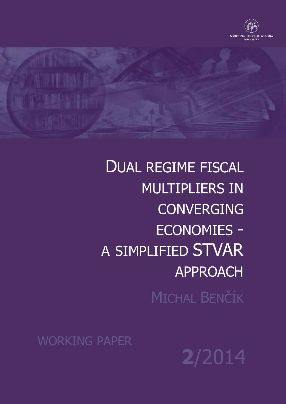



DUAL REGIME FISCAL MULTIPLIERS IN CONVERGING ECONOMIES - A SIMPLIFIED STVAR APPROACH MICHAL BENČÍK

WORKING PAPER

**2**/20144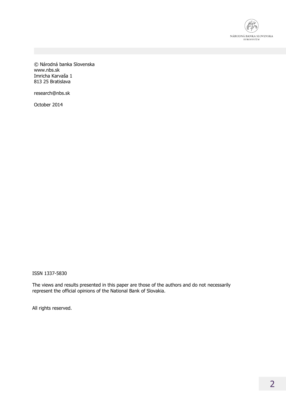

© Národná banka Slovenska www.nbs.sk Imricha Karvaša 1 813 25 Bratislava

research@nbs.sk

October 2014

ISSN 1337-5830

The views and results presented in this paper are those of the authors and do not necessarily represent the official opinions of the National Bank of Slovakia.

All rights reserved.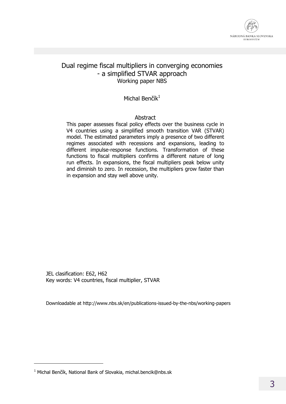

### Dual regime fiscal multipliers in converging economies - a simplified STVAR approach Working paper NBS

#### Michal Benčík $1$

#### Abstract

This paper assesses fiscal policy effects over the business cycle in V4 countries using a simplified smooth transition VAR (STVAR) model. The estimated parameters imply a presence of two different regimes associated with recessions and expansions, leading to different impulse-response functions. Transformation of these functions to fiscal multipliers confirms a different nature of long run effects. In expansions, the fiscal multipliers peak below unity and diminish to zero. In recession, the multipliers grow faster than in expansion and stay well above unity.

JEL clasification: E62, H62 Key words: V4 countries, fiscal multiplier, STVAR

Downloadable at http://www.nbs.sk/en/publications-issued-by-the-nbs/working-papers

j

<sup>&</sup>lt;sup>1</sup> Michal Benčík, National Bank of Slovakia, michal.bencik@nbs.sk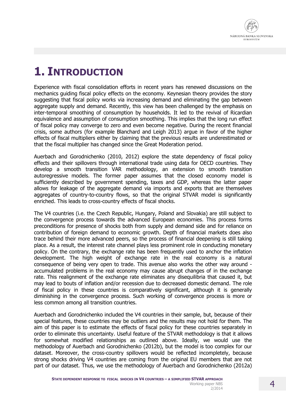

### **1. INTRODUCTION**

Experience with fiscal consolidation efforts in recent years has renewed discussions on the mechanics guiding fiscal policy effects on the economy. Keynesian theory provides the story suggesting that fiscal policy works via increasing demand and eliminating the gap between aggregate supply and demand. Recently, this view has been challenged by the emphasis on inter-temporal smoothing of consumption by households. It led to the revival of Ricardian equivalence and assumption of consumption smoothing. This implies that the long run effect of fiscal policy may converge to zero and even become negative. During the recent financial crisis, some authors (for example Blanchard and Leigh 2013) argue in favor of the higher effects of fiscal multipliers either by claiming that the previous results are underestimated or that the fiscal multiplier has changed since the Great Moderation period.

Auerbach and Gorodnichenko (2010, 2012) explore the state dependency of fiscal policy effects and their spillovers through international trade using data for OECD countries. They develop a smooth transition VAR methodology, an extension to smooth transition autoregressive models. The former paper assumes that the closed economy model is sufficiently described by government spending, taxes and GDP, whereas the latter paper allows for leakage of the aggregate demand via imports and exports that are themselves aggregates of country-to-country flows, so that the original STVAR model is significantly enriched. This leads to cross-country effects of fiscal shocks.

The V4 countries (i.e. the Czech Republic, Hungary, Poland and Slovakia) are still subject to the convergence process towards the advanced European economies. This process forms preconditions for presence of shocks both from supply and demand side and for reliance on contribution of foreign demand to economic growth. Depth of financial markets does also trace behind their more advanced peers, so the process of financial deepening is still taking place. As a result, the interest rate channel plays less prominent role in conducting monetary policy. On the contrary, the exchange rate has been frequently used to anchor the inflation development. The high weight of exchange rate in the real economy is a natural consequence of being very open to trade. This avenue also works the other way around accumulated problems in the real economy may cause abrupt changes of in the exchange rate. This realignment of the exchange rate eliminates any disequilibria that caused it, but may lead to bouts of inflation and/or recession due to decreased domestic demand. The role of fiscal policy in these countries is comparatively significant, although it is generally diminishing in the convergence process. Such working of convergence process is more or less common among all transition countries.

Auerbach and Gorodnichenko included the V4 countries in their sample, but, because of their special features, these countries may be outliers and the results may not hold for them. The aim of this paper is to estimate the effects of fiscal policy for these countries separately in order to eliminate this uncertainty. Useful feature of the STVAR methodology is that it allows for somewhat modified relationships as outlined above. Ideally, we would use the methodology of Auerbach and Gorodnichenko (2012b), but the model is too complex for our dataset. Moreover, the cross-country spillovers would be reflected incompletely, because strong shocks driving V4 countries are coming from the original EU members that are not part of our dataset. Thus, we use the methodology of Auerbach and Gorodnichenko (2012a)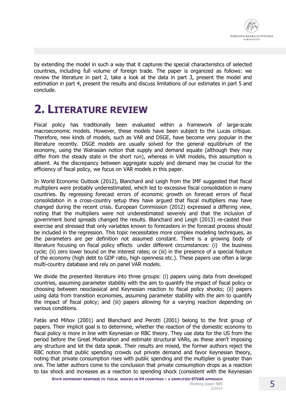

by extending the model in such a way that it captures the special characteristics of selected countries, including full volume of foreign trade. The paper is organized as follows: we review the literature in part 2, take a look at the data in part 3, present the model and estimation in part 4, present the results and discuss limitations of our estimates in part 5 and conclude.

## **2. LITERATURE REVIEW**

Fiscal policy has traditionally been evaluated within a framework of large-scale macroeconomic models. However, these models have been subject to the Lucas critique. Therefore, new kinds of models, such as VAR and DSGE, have become very popular in the literature recently. DSGE models are usually solved for the general equilibrium of the economy, using the Walrasian notion that supply and demand equate (although they may differ from the steady state in the short run), whereas in VAR models, this assumption is absent. As the discrepancy between aggregate supply and demand may be crucial for the efficiency of fiscal policy, we focus on VAR models in this paper.

In World Economic Outlook (2012), Blanchard and Leigh from the IMF suggested that fiscal multipliers were probably underestimated, which led to excessive fiscal consolidation in many countries. By regressing forecast errors of economic growth on forecast errors of fiscal consolidation in a cross-country setup they have argued that fiscal multipliers may have changed during the recent crisis. European Commission (2012) expressed a differing view, noting that the multipliers were not underestimated severely and that the inclusion of government bond spreads changed the results. Blanchard and Leigh (2013) re-casted their exercise and stressed that only variables known to forecasters in the forecast process should be included in the regression. This topic necessitates more complex modeling techniques, as the parameters are per definition not assumed constant. There is a growing body of literature focusing on fiscal policy effects under different circumstances: (i) the business cycle; (ii) zero lower bound on the interest rates; or (iii) in the presence of a special feature of the economy (high debt to GDP ratio, high openness etc.). These papers use often a large multi-country database and rely on panel VAR models.

We divide the presented literature into three groups: (i) papers using data from developed countries, assuming parameter stability with the aim to quantify the impact of fiscal policy or choosing between neoclassical and Keynesian reaction to fiscal policy shocks; (ii) papers using data from transition economies, assuming parameter stability with the aim to quantify the impact of fiscal policy; and (iii) papers allowing for a varying reaction depending on various conditions.

Fatás and Mihov (2001) and Blanchard and Perotti (2001) belong to the first group of papers. Their implicit goal is to determine, whether the reaction of the domestic economy to fiscal policy is more in line with Keynesian or RBC theory. They use data for the US from the period before the Great Moderation and estimate structural VARs, as these aren't imposing any structure and let the data speak. Their results are mixed, the former authors reject the RBC notion that public spending crowds out private demand and favor Keynesian theory, noting that private consumption rises with public spending and the multiplier is greater than one. The latter authors come to the conclusion that private consumption drops as a reaction to tax shock and increases as a reaction to spending shock (consistent with the Keynesian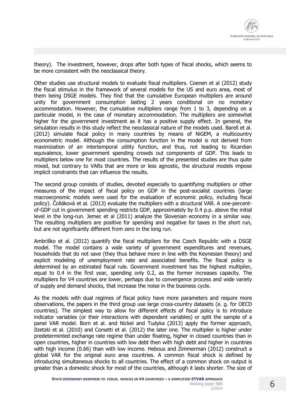

theory). The investment, however, drops after both types of fiscal shocks, which seems to be more consistent with the neoclassical theory.

Other studies use structural models to evaluate fiscal multipliers. Coenen et al (2012) study the fiscal stimulus in the framework of several models for the US and euro area, most of them being DSGE models. They find that the cumulative European multipliers are around unity for government consumption lasting 2 years conditional on no monetary accommodation. However, the cumulative multipliers range from 1 to 3, depending on a particular model, in the case of monetary accommodation. The multipliers are somewhat higher for the government investment as it has a positive supply effect. In general, the simulation results in this study reflect the neoclassical nature of the models used. Barell et al. (2012) simulate fiscal policy in many countries by means of NiGEM, a multicountry econometric model. Although the consumption function in the model is not derived from maximization of an intertemporal utility function, and thus, not leading to Ricardian equivalence, lower government spending crowds out components of GDP. This leads to multipliers below one for most countries. The results of the presented studies are thus quite mixed, but contrary to VARs that are more or less agnostic, the structural models impose implicit constraints that can influence the results.

The second group consists of studies, devoted especially to quantifying multipliers or other measures of the impact of fiscal policy on GDP in the post-socialist countries (large macroeconomic models were used for the evaluation of economic policy, including fiscal policy). Čolláková et al. (2013) evaluate the multipliers with a structural VAR. A one-percentof-GDP cut in government spending restricts GDP, approximately by 0.4 p.p. above the initial level in the long-run. Jemec et al (2011) analyze the Slovenian economy in a similar way. The resulting multipliers are positive for spending and negative for taxes in the short run, but are not significantly different from zero in the long run.

Ambriško et al. (2012) quantify the fiscal multipliers for the Czech Republic with a DSGE model. The model contains a wide variety of government expenditures and revenues, households that do not save (they thus behave more in line with the Keynesian theory) and explicit modeling of unemployment rate and associated benefits. The fiscal policy is determined by an estimated fiscal rule. Government investment has the highest multiplier, equal to 0.4 in the first year, spending only 0.2, as the former increases capacity. The multipliers for V4 countries are lower, perhaps due to convergence process and wide variety of supply and demand shocks, that increase the noise in the business cycle.

As the models with dual regimes of fiscal policy have more parameters and require more observations, the papers in the third group use large cross-country datasets (e. g. for OECD countries). The simplest way to allow for different effects of fiscal policy is to introduce indicator variables (or their interactions with dependent variables) or split the sample of a panel VAR model. Born et al. and Nickel and Tudyka (2013) apply the former approach, Ilzetzki et al. (2010) and Corsetti et al. (2012) the later one. The multiplier is higher under predeterminted exchange rate regime than under floating, higher in closed countries than in open countries, higher in countries with low debt then with high debt and higher in countries with high income (0.66) than with low income. Hebous and Zimmerman (2012) construct a global VAR for the original euro area countries. A common fiscal shock is defined by introducing simultaneous shocks to all countries. The effect of a common shock on output is greater than a domestic shock for most of the countries, although it lasts shorter. The size of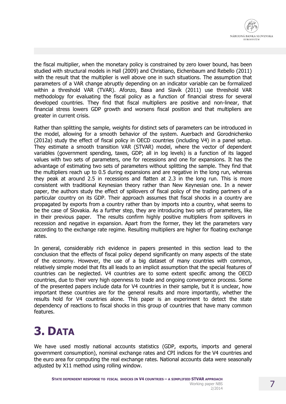the fiscal multiplier, when the monetary policy is constrained by zero lower bound, has been studied with structural models in Hall (2009) and Christiano, Eichenbaum and Rebello (2011) with the result that the multiplier is well above one in such situations. The assumption that parameters of a VAR change abruptly depending on an indicator variable can be formalized within a threshold VAR (TVAR). Afonzo, Baxa and Slavík (2011) use threshold VAR methodology for evaluating the fiscal policy as a function of financial stress for several developed countries. They find that fiscal multipliers are positive and non-linear, that financial stress lowers GDP growth and worsens fiscal position and that multipliers are greater in current crisis.

Rather than splitting the sample, weights for distinct sets of parameters can be introduced in the model, allowing for a smooth behavior of the system. Auerbach and Gorodnichenko (2012a) study the effect of fiscal policy in OECD countries (including V4) in a panel setup. They estimate a smooth transition VAR (STVAR) model, where the vector of dependent variables (government spending, taxes, GDP; all in log levels) is a function of its lagged values with two sets of parameters, one for recessions and one for expansions. It has the advantage of estimating two sets of parameters without splitting the sample. They find that the multipliers reach up to 0.5 during expansions and are negative in the long run, whereas they peak at around 2.5 in recessions and flatten at 2.3 in the long run. This is more consistent with traditional Keynesian theory rather than New Keynesian one. In a newer paper, the authors study the effect of spillovers of fiscal policy of the trading partners of a particular country on its GDP. Their approach assumes that fiscal shocks in a country are propagated by exports from a country rather than by imports into a country, what seems to be the case of Slovakia. As a further step, they are introducing two sets of parameters, like in their previous paper. The results confirm highly positive multipliers from spillovers in recession and negative in expansion. Apart from the former, they let the parameters vary according to the exchange rate regime. Resulting multipliers are higher for floating exchange rates.

In general, considerably rich evidence in papers presented in this section lead to the conclusion that the effects of fiscal policy depend significantly on many aspects of the state of the economy. However, the use of a big dataset of many countries with common, relatively simple model that fits all leads to an implicit assumption that the special features of countries can be neglected. V4 countries are to some extent specific among the OECD countries, due to their very high openness to trade and ongoing convergence process. Some of the presented papers include data for V4 countries in their sample, but it is unclear, how important these countries are for the general results and more importantly, whether the results hold for V4 countries alone. This paper is an experiment to detect the state dependency of reactions to fiscal shocks in this group of countries that have many common features.

# **3. DATA**

We have used mostly national accounts statistics (GDP, exports, imports and general government consumption), nominal exchange rates and CPI indices for the V4 countries and the euro area for computing the real exchange rates. National accounts data were seasonally adjusted by X11 method using rolling window.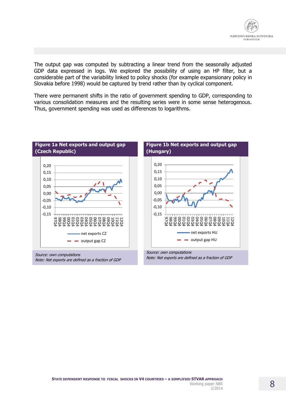

The output gap was computed by subtracting a linear trend from the seasonally adjusted GDP data expressed in logs. We explored the possibility of using an HP filter, but a considerable part of the variability linked to policy shocks (for example expansionary policy in Slovakia before 1998) would be captured by trend rather than by cyclical component.

There were permanent shifts in the ratio of government spending to GDP, corresponding to various consolidation measures and the resulting series were in some sense heterogenous. Thus, government spending was used as differences to logarithms.



Source: own computations Note: Net exports are defined as a fraction of GDP





Source: own computations Note: Net exports are defined as a fraction of GDP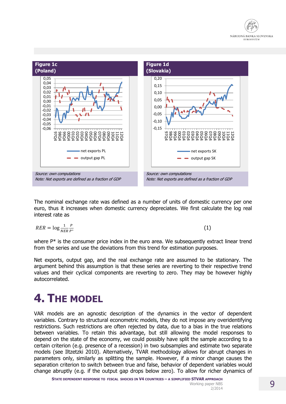



The nominal exchange rate was defined as a number of units of domestic currency per one euro, thus it increases when domestic currency depreciates. We first calculate the log real interest rate as

$$
RER = \log \frac{1}{NER} \frac{P}{P^*}
$$
 (1)

where P<sup>\*</sup> is the consumer price index in the euro area. We subsequently extract linear trend from the series and use the deviations from this trend for estimation purposes.

Net exports, output gap, and the real exchange rate are assumed to be stationary. The argument behind this assumption is that these series are reverting to their respective trend values and their cyclical components are reverting to zero. They may be however highly autocorrelated.

### **4. THE MODEL**

VAR models are an agnostic description of the dynamics in the vector of dependent variables. Contrary to structural econometric models, they do not impose any overidentifying restrictions. Such restrictions are often rejected by data, due to a bias in the true relations between variables. To retain this advantage, but still allowing the model responses to depend on the state of the economy, we could possibly have split the sample according to a certain criterion (e.g. presence of a recession) in two subsamples and estimate two separate models (see Iltzetzki 2010). Alternatively, TVAR methodology allows for abrupt changes in parameters only, similarly as splitting the sample. However, if a minor change causes the separation criterion to switch between true and false, behavior of dependent variables would change abruptly (e.g. if the output gap drops below zero). To allow for richer dynamics of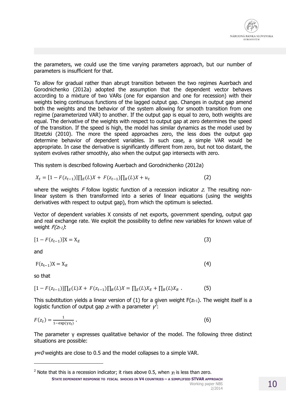

the parameters, we could use the time varying parameters approach, but our number of parameters is insufficient for that.

To allow for gradual rather than abrupt transition between the two regimes Auerbach and Gorodnichenko (2012a) adopted the assumption that the dependent vector behaves according to a mixture of two VARs (one for expansion and one for recession) with their weights being continuous functions of the lagged output gap. Changes in output gap amend both the weights and the behavior of the system allowing for smooth transition from one regime (parameterized VAR) to another. If the output gap is equal to zero, both weights are equal. The derivative of the weights with respect to output gap at zero determines the speed of the transition. If the speed is high, the model has similar dynamics as the model used by Iltzetzki (2010). The more the speed approaches zero, the less does the output gap determine behavior of dependent variables. In such case, a simple VAR would be appropriate. In case the derivative is significantly different from zero, but not too distant, the system evolves rather smoothly, also when the output gap intersects with zero.

This system is described following Auerbach and Gorodnichenko (2012a)

$$
X_t = [1 - F(z_{t-1})] \prod_E(L) X + F(z_{t-1}) \prod_R(L) X + u_t
$$
\n(2)

where the weights F follow logistic function of a recession indicator z. The resulting nonlinear system is then transformed into a series of linear equations (using the weights derivatives with respect to output gap), from which the optimum is selected.

Vector of dependent variables X consists of net exports, government spending, output gap and real exchange rate. We exploit the possibility to define new variables for known value of weight  $F(z_{t-1})$ :

$$
[1 - F(z_{t-1})]X = X_E
$$
\n
$$
(3)
$$

and

$$
F(z_{t-1})X = X_R
$$
 (4)

so that

j

$$
[1 - F(z_{t-1})] \prod_E(L)X + F(z_{t-1}) \prod_R(L)X = \prod_E(L)X_E + \prod_R(L)X_R.
$$
 (5)

This substitution yields a linear version of (1) for a given weight  $F(z_{t-1})$ . The weight itself is a logistic function of output gap  $z_t$  with a parameter  $\gamma^2$ :

$$
F(z_t) = \frac{1}{1 - \exp(\gamma z_t)}\,. \tag{6}
$$

The parameter γ expresses qualitative behavior of the model. The following three distinct situations are possible:

 $\gamma \approx 0$  weights are close to 0.5 and the model collapses to a simple VAR.

**STATE DEPENDENT RESPONSE TO FISCAL SHOCKS IN V4 COUNTRIES – A SIMPLIFIED STVAR APPROACH**  <sup>2</sup> Note that this is a recession indicator; it rises above 0.5, when  $\gamma_t$  is less than zero.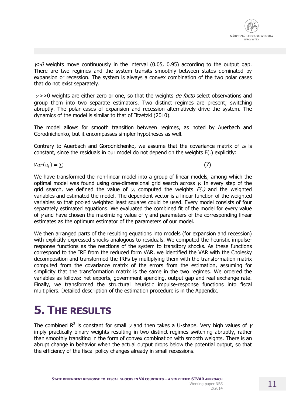

 $\gamma$ >0 weights move continuously in the interval (0.05, 0.95) according to the output gap. There are two regimes and the system transits smoothly between states dominated by expansion or recession. The system is always a convex combination of the two polar cases that do not exist separately.

 $\gamma$ >>0 weights are either zero or one, so that the weights *de facto* select observations and group them into two separate estimators. Two distinct regimes are present; switching abruptly. The polar cases of expansion and recession alternatively drive the system. The dynamics of the model is similar to that of Iltzetzki (2010).

The model allows for smooth transition between regimes, as noted by Auerbach and Gorodnichenko, but it encompasses simpler hypotheses as well.

Contrary to Auerbach and Gorodnichenko, we assume that the covariance matrix of  $u_t$  is constant, since the residuals in our model do not depend on the weights F(.) explicitly:

 $Var(u_t) = \sum$ ) =  $\sum$  (7)

We have transformed the non-linear model into a group of linear models, among which the optimal model was found using one-dimensional grid search across  $\gamma$ . In every step of the grid search, we defined the value of  $\gamma$ , computed the weights  $F(r)$  and the weighted variables and estimated the model. The dependent vector is a linear function of the weighted variables so that pooled weighted least squares could be used. Every model consists of four separately estimated equations. We evaluated the combined fit of the model for every value of γ and have chosen the maximizing value of γ and parameters of the corresponding linear estimates as the optimum estimator of the parameters of our model.

We then arranged parts of the resulting equations into models (for expansion and recession) with explicitly expressed shocks analogous to residuals. We computed the heuristic impulseresponse functions as the reactions of the system to transitory shocks. As these functions correspond to the IRF from the reduced form VAR, we identified the VAR with the Cholesky decomposition and transformed the IRFs by multiplying them with the transformation matrix computed from the covariance matrix of the errors from the estimation, assuming for simplicity that the transformation matrix is the same in the two regimes. We ordered the variables as follows: net exports, government spending, output gap and real exchange rate. Finally, we transformed the structural heuristic impulse-response functions into fiscal multipliers. Detailed description of the estimation procedure is in the Appendix.

# **5. THE RESULTS**

The combined R<sup>2</sup> is constant for small  $\gamma$  and then takes a U-shape. Very high values of  $\gamma$ imply practically binary weights resulting in two distinct regimes switching abruptly, rather than smoothly transiting in the form of convex combination with smooth weights. There is an abrupt change in behavior when the actual output drops below the potential output, so that the efficiency of the fiscal policy changes already in small recessions.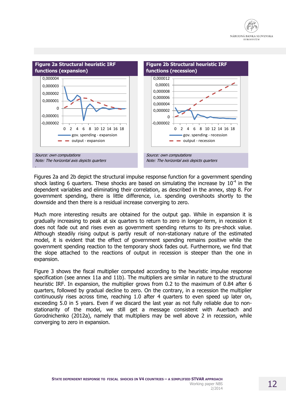



Figures 2a and 2b depict the structural impulse response function for a government spending shock lasting 6 quarters. These shocks are based on simulating the increase by  $10^{-4}$  in the dependent variables and eliminating their correlation, as described in the annex, step 8. For government spending, there is little difference, i.e. spending overshoots shortly to the downside and then there is a residual increase converging to zero.

Much more interesting results are obtained for the output gap. While in expansion it is gradually increasing to peak at six quarters to return to zero in longer-term, in recession it does not fade out and rises even as government spending returns to its pre-shock value. Although steadily rising output is partly result of non-stationary nature of the estimated model, it is evident that the effect of government spending remains positive while the government spending reaction to the temporary shock fades out. Furthermore, we find that the slope attached to the reactions of output in recession is steeper than the one in expansion.

Figure 3 shows the fiscal multiplier computed according to the heuristic impulse response specification (see annex 11a and 11b). The multipliers are similar in nature to the structural heuristic IRF. In expansion, the multiplier grows from 0.2 to the maximum of 0.84 after 6 quarters, followed by gradual decline to zero. On the contrary, in a recession the multiplier continuously rises across time, reaching 1.0 after 4 quarters to even speed up later on, exceeding 5.0 in 5 years. Even if we discard the last year as not fully reliable due to nonstationarity of the model, we still get a message consistent with Auerbach and Gorodnichenko (2012a), namely that multipliers may be well above 2 in recession, while converging to zero in expansion.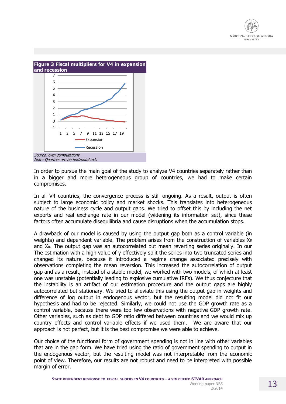



Note: Quarters are on horizontal axis

In order to pursue the main goal of the study to analyze V4 countries separately rather than in a bigger and more heterogeneous group of countries, we had to make certain compromises.

In all V4 countries, the convergence process is still ongoing. As a result, output is often subject to large economic policy and market shocks. This translates into heterogeneous nature of the business cycle and output gaps. We tried to offset this by including the net exports and real exchange rate in our model (widening its information set), since these factors often accumulate disequilibria and cause disruptions when the accumulation stops.

A drawback of our model is caused by using the output gap both as a control variable (in weights) and dependent variable. The problem arises from the construction of variables  $X_{E}$ and XR. The output gap was an autocorrelated but mean reverting series originally. In our The estimation with a high value of γ effectively split the series into two truncated series and changed its nature, because it introduced a regime change associated precisely with observations completing the mean reversion. This increased the autocorrelation of output gap and as a result, instead of a stable model, we worked with two models, of which at least one was unstable (potentially leading to explosive cumulative IRFs). We thus conjecture that the instability is an artifact of our estimation procedure and the output gaps are highly autocorrelated but stationary. We tried to alleviate this using the output gap in weights and difference of log output in endogenous vector, but the resulting model did not fit our hypothesis and had to be rejected. Similarly, we could not use the GDP growth rate as a control variable, because there were too few observations with negative GDP growth rate. Other variables, such as debt to GDP ratio differed between countries and we would mix up country effects and control variable effects if we used them. We are aware that our approach is not perfect, but it is the best compromise we were able to achieve.

Our choice of the functional form of government spending is not in line with other variables that are in the gap form. We have tried using the ratio of government spending to output in the endogenous vector, but the resulting model was not interpretable from the economic point of view. Therefore, our results are not robust and need to be interpreted with possible margin of error.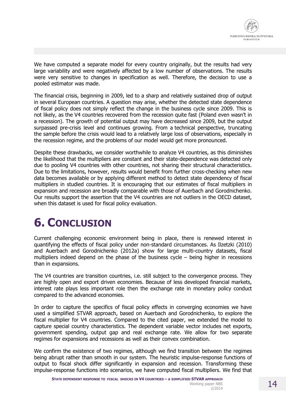

We have computed a separate model for every country originally, but the results had very large variability and were negatively affected by a low number of observations. The results were very sensitive to changes in specification as well. Therefore, the decision to use a pooled estimator was made.

The financial crisis, beginning in 2009, led to a sharp and relatively sustained drop of output in several European countries. A question may arise, whether the detected state dependence of fiscal policy does not simply reflect the change in the business cycle since 2009. This is not likely, as the V4 countries recovered from the recession quite fast (Poland even wasn't in a recession). The growth of potential output may have decreased since 2009, but the output surpassed pre-crisis level and continues growing. From a technical perspective, truncating the sample before the crisis would lead to a relatively large loss of observations, especially in the recession regime, and the problems of our model would get more pronounced.

Despite these drawbacks, we consider worthwhile to analyze V4 countries, as this diminishes the likelihood that the multipliers are constant and their state-dependence was detected only due to pooling V4 countries with other countries, not sharing their structural characteristics. Due to the limitations, however, results would benefit from further cross-checking when new data becomes available or by applying different method to detect state dependency of fiscal multipliers in studied countries. It is encouraging that our estimates of fiscal multipliers in expansion and recession are broadly comparable with those of Auerbach and Gorodnichenko. Our results support the assertion that the V4 countries are not outliers in the OECD dataset, when this dataset is used for fiscal policy evaluation.

# **6. CONCLUSION**

Current challenging economic environment being in place, there is renewed interest in quantifying the effects of fiscal policy under non-standard circumstances. As Ilzetzki (2010) and Auerbach and Gorodnichenko (2012a) show for large multi-country datasets, fiscal multipliers indeed depend on the phase of the business cycle  $-$  being higher in recessions than in expansions.

The V4 countries are transition countries, i.e. still subject to the convergence process. They are highly open and export driven economies. Because of less developed financial markets, interest rate plays less important role then the exchange rate in monetary policy conduct compared to the advanced economies.

In order to capture the specifics of fiscal policy effects in converging economies we have used a simplified STVAR approach, based on Auerbach and Gorodnichenko, to explore the fiscal multiplier for V4 countries. Compared to the cited paper, we extended the model to capture special country characteristics. The dependent variable vector includes net exports, government spending, output gap and real exchange rate. We allow for two separate regimes for expansions and recessions as well as their convex combination.

We confirm the existence of two regimes, although we find transition between the regimes being abrupt rather than smooth in our system. The heuristic impulse-response functions of output to fiscal shock differ significantly in expansion and recession. Transforming these impulse-response functions into scenarios, we have computed fiscal multipliers. We find that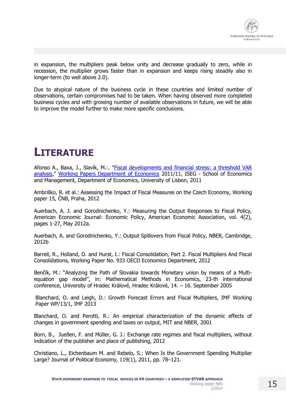

in expansion, the multipliers peak below unity and decrease gradually to zero, while in recession, the multiplier grows faster than in expansion and keeps rising steadily also in longer-term (to well above 2.0).

Due to atypical nature of the business cycle in these countries and limited number of observations, certain compromises had to be taken. When having observed more completed business cycles and with growing number of available observations in future, we will be able to improve the model further to make more specific conclusions.

# **LITERATURE**

Afonso A., Baxa, J., Slavík, M.:. ["Fiscal developments and financial stress: a threshold VAR](http://ideas.repec.org/p/ise/isegwp/wp112011.html)  [analysis,](http://ideas.repec.org/p/ise/isegwp/wp112011.html)" [Working Papers Department of Economics](http://ideas.repec.org/s/ise/isegwp.html) 2011/11, ISEG - School of Economics and Management, Department of Economics, University of Lisbon, 2011

Ambriško, R. et al.: Assessing the Impact of Fiscal Measures on the Czech Economy, Working paper 15, ČNB, Praha, 2012

Auerbach, A. J. and Gorodnichenko, Y.: Measuring the Output Responses to Fiscal Policy, American Economic Journal: Economic Policy, American Economic Association, vol. 4(2), pages 1-27, May 2012a.

Auerbach, A. and Gorodnichenko, Y.: Output Spillovers from Fiscal Policy, NBER, Cambridge, 2012b

Barrell, R., Holland, D. and Hurst, I.: Fiscal Consolidation, Part 2. Fiscal Multipliers And Fiscal Consolidations, Working Paper No. 933 OECD Economics Department, 2012

Benčík, M.: "Analyzing the Path of Slovakia towards Monetary union by means of a Multiequation gap model", in: Mathematical Methods in Economics, 23-th international conference, University of Hradec Králové, Hradec Králové, 14. – 16. September 2005

Blanchard, O. and Leigh, D.: Growth Forecast Errors and Fiscal Multipliers, IMF Working Paper WP/13/1, IMF 2013

Blanchard, O. and Perotti, R.: An empirical characterization of the dynamic effects of changes in government spending and taxes on output, MIT and NBER, 2001

Born, B., Jueßen, F. and Müller, G. J.: Exchange rate regimes and fiscal multipliers, without indication of the publisher and place of publishing, 2012

Christiano, L., Eichenbaum M. and Rebelo, S.: When Is the Government Spending Multiplier Large? Journal of Political Economy, 119(1), 2011, pp. 78–121.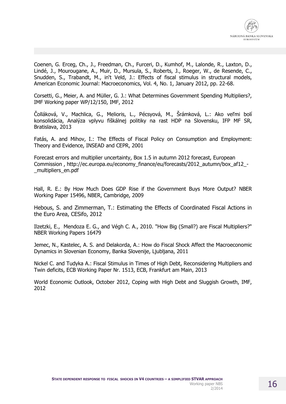

Coenen, G. Erceg, Ch., J., Freedman, Ch., Furceri, D., Kumhof, M., Lalonde, R., Laxton, D., Lindé, J., Mourougane, A., Muir, D., Mursula, S., Roberts, J., Roeger, W., de Resende, C., Snudden, S., Trabandt, M., in't Veld, J.: Effects of fiscal stimulus in structural models, American Economic Journal: Macroeconomics, Vol. 4, No. 1, January 2012, pp. 22-68.

Corsetti, G., Meier, A. and Müller, G. J.: What Determines Government Spending Multipliers?, IMF Working paper WP/12/150, IMF, 2012

Čolláková, V., Machlica, G., Melioris, L., Pécsyová, M., Šrámková, L.: Ako veľmi bolí konsolidácia, Analýza vplyvu fiškálnej politiky na rast HDP na Slovensku, IFP MF SR, Bratislava, 2013

Fatás, A. and Mihov, I.: The Effects of Fiscal Policy on Consumption and Employment: Theory and Evidence, INSEAD and CEPR, 2001

Forecast errors and multiplier uncertainty, Box 1.5 in autumn 2012 forecast, European Commission , [http://ec.europa.eu/economy\\_finance/eu/forecasts/2012\\_autumn/box\\_af12\\_-](http://ec.europa.eu/economy_finance/eu/forecasts/2012_autumn/box_af12_-_multipliers_en.pdf) [\\_multipliers\\_en.pdf](http://ec.europa.eu/economy_finance/eu/forecasts/2012_autumn/box_af12_-_multipliers_en.pdf)

Hall, R. E.: By How Much Does GDP Rise if the Government Buys More Output? NBER Working Paper 15496, NBER, Cambridge, 2009

Hebous, S. and Zimmerman, T.: Estimating the Effects of Coordinated Fiscal Actions in the Euro Area, CESifo, 2012

Ilzetzki, E., Mendoza E. G., and Végh C. A., 2010. "How Big (Small?) are Fiscal Multipliers?" NBER Working Papers 16479

Jemec, N., Kastelec, A. S. and Delakorda, A.: How do Fiscal Shock Affect the Macroeconomic Dynamics in Slovenian Economy, Banka Slovenije, Ljubljana, 2011

Nickel C. and Tudyka A.: Fiscal Stimulus in Times of High Debt, Reconsidering Multipliers and Twin deficits, ECB Working Paper Nr. 1513, ECB, Frankfurt am Main, 2013

World Economic Outlook, October 2012, Coping with High Debt and Sluggish Growth, IMF, 2012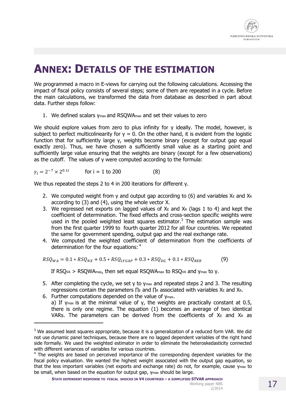

### **ANNEX: DETAILS OF THE ESTIMATION**

We programmed a macro in E-views for carrying out the following calculations. Accessing the impact of fiscal policy consists of several steps; some of them are repeated in a cycle. Before the main calculations, we transformed the data from database as described in part about data. Further steps follow:

1. We defined scalars v<sub>max</sub> and RSOWA<sub>max</sub> and set their values to zero

We should explore values from zero to plus infinity for γ ideally. The model, however, is subject to perfect multicolinearity for  $y = 0$ . On the other hand, it is evident from the logistic function that for sufficiently large γ, weights become binary (except for output gap equal exactly zero). Thus, we have chosen a sufficiently small value as a starting point and sufficiently large value ensuring that the weights are binary (except for a few observations) as the cutoff. The values of γ were computed according to the formula:

$$
\gamma_i = 2^{-7} \times 2^{0.1i} \qquad \text{for } i = 1 \text{ to } 200 \tag{8}
$$

 $\overline{a}$ 

We thus repeated the steps 2 to 4 in 200 iterations for different γ.

- 2. We computed weight from y and output gap according to (6) and variables  $X_E$  and  $X_R$ according to (3) and (4), using the whole vector X.
- 3. We regressed net exports on lagged values of  $X_E$  and  $X_R$  (lags 1 to 4) and kept the coefficient of determination. The fixed effects and cross-section specific weights were used in the pooled weighted least squares estimator. $3$  The estimation sample was from the first quarter 1999 to fourth quarter 2012 for all four countries. We repeated the same for government spending, output gap and the real exchange rate.
- 4. We computed the weighted coefficient of determination from the coefficients of determination for the four equations: <sup>4</sup>

$$
RSQ_{WA} = 0.1 * RSQ_{NX} + 0.5 * RSQ_{LYGAP} + 0.3 * RSQ_{DG} + 0.1 * RSQ_{RER}
$$
(9)

If RSQ<sub>VA</sub> > RSQWA<sub>max</sub>, then set equal RSQWA<sub>max</sub> to RSQ<sub>VA</sub> and γ<sub>max</sub> to γ.

- 5. After completing the cycle, we set γ to γ<sub>max</sub> and repeated steps 2 and 3. The resulting regressions contain the parameters  $\Pi$ E and  $\Pi$ R associated with variables XE and XR.
- 6. Further computations depended on the value of γmax. a) If γmax is at the minimal value of γ, the weights are practically constant at 0.5, there is only one regime. The equation (1) becomes an average of two identical VARs. The parameters can be derived from the coefficients of  $X_E$  and  $X_R$  as

<sup>&</sup>lt;sup>3</sup> We assumed least squares appropriate, because it is a generalization of a reduced form VAR. We did not use dynamic panel techniques, because there are no lagged dependent variables of the right hand side formally. We used the weighted estimator in order to eliminate the heteroskedasticity connected with different variances of variables for various countries.

<sup>&</sup>lt;sup>4</sup> The weights are based on perceived importance of the corresponding dependent variables for the fiscal policy evaluation. We wanted the highest weight associated with the output gap equation, so that the less important variables (net exports and exchange rate) do not, for example, cause γmax to be small, when based on the equation for output gap, γmax should be large.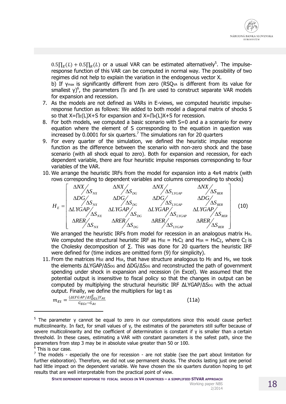

 $0.5\prod_E(L) + 0.5\prod_R(L)$  or a usual VAR can be estimated alternatively<sup>5</sup>. The impulseresponse function of this VAR can be computed in normal way. The possibility of two regimes did not help to explain the variation in the endogenous vector X.

b) If γmax is significantly different from zero (RSQVA is different from its value for smallest  $\gamma$ <sup>6</sup>, the parameters  $\prod_{E}$  and  $\prod_{R}$  are used to construct separate VAR models for expansion and recession.

- 7. As the models are not defined as VARs in E-views, we computed heuristic impulseresponse function as follows: We added to both model a diagonal matrix of shocks S so that X=∏E(L)X+S for expansion and X=∏R(L)X+S for recession.
- 8. For both models, we computed a basic scenario with S=0 and a a scenario for every equation where the element of S corresponding to the equation in question was increased by 0.0001 for six quarters.<sup>7</sup> The simulations ran for 20 quarters
- 9. For every quarter of the simulation, we defined the heuristic impulse response function as the difference between the scenario with non-zero shock and the base scenario (with all shock equal to zero). Both for expansion and recession, for each dependent variable, there are four heuristic impulse responses corresponding to four variables of the VAR.
- 10. We arrange the heuristic IRFs from the model for expansion into a 4x4 matrix (with rows corresponding to dependent variables and columns corresponding to shocks)



We arranged the heuristic IRFs from model for recession in an analogous matrix HR. We computed the structural heuristic IRF as  $HSE = HEC_{\Sigma}$  and  $HSR = HRC_{\Sigma}$ , where  $C_{\Sigma}$  is the Cholesky decomposition of  $\Sigma$ . This was done for 20 quarters the heuristic IRF were defined for (time indices are omitted form (9) for simplicity).

11. From the matrices Hse and HsR, that have structure analogous to He and HR, we took the elements  $\Delta$ LYGAP/ $\Delta$ S<sub>DG</sub> and  $\Delta$ DG/ $\Delta$ S<sub>DG</sub> and reconstructed the path of government spending under shock in expansion and recession (in Excel). We assumed that the potential output is insensitive to fiscal policy so that the changes in output can be computed by multiplying the structural heurisitic IRF ΔLYGAP/ΔS<sub>DG</sub> with the actual output. Finally, we define the multipliers for lag t as

$$
m_{Et} = \frac{(ALYGAP/AS_{DGL}^E)Y_{At}}{G_{EGL} - G_{At}}
$$

(11a)

<sup>5</sup> The parameter γ cannot be equal to zero in our computations since this would cause perfect multicolinearity. In fact, for small values of γ, the estimates of the parameters still suffer because of severe multicolinearity and the coefficient of determination is constant if γ is smaller than a certain threshold. In these cases, estimating a VAR with constant parameters is the safest path, since the parameters from step 3 may be in absolute value greater than 50 or 100.

j

<sup>&</sup>lt;sup>6</sup> This is our case.

 $<sup>7</sup>$  The models - especially the one for recession - are not stable (see the part about limitation for</sup> further elaboration). Therefore, we did not use permanent shocks. The shocks lasting just one period had little impact on the dependent variable. We have chosen the six quarters duration hoping to get results that are well interpretable from the practical point of view.